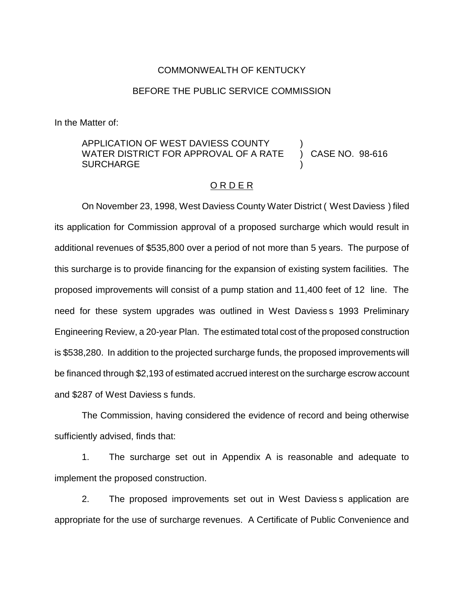## COMMONWEALTH OF KENTUCKY

### BEFORE THE PUBLIC SERVICE COMMISSION

In the Matter of:

## APPLICATION OF WEST DAVIESS COUNTY  $\overline{a}$  ) CASE NO. 98-616 WATER DISTRICT FOR APPROVAL OF A RATE **SURCHARGE**

#### O R D E R

On November 23, 1998, West Daviess County Water District ( West Daviess ) filed its application for Commission approval of a proposed surcharge which would result in additional revenues of \$535,800 over a period of not more than 5 years. The purpose of this surcharge is to provide financing for the expansion of existing system facilities. The proposed improvements will consist of a pump station and 11,400 feet of 12 line. The need for these system upgrades was outlined in West Daviess s 1993 Preliminary Engineering Review, a 20-year Plan. The estimated total cost of the proposed construction is \$538,280. In addition to the projected surcharge funds, the proposed improvements will be financed through \$2,193 of estimated accrued interest on the surcharge escrow account and \$287 of West Daviess s funds.

The Commission, having considered the evidence of record and being otherwise sufficiently advised, finds that:

1. The surcharge set out in Appendix A is reasonable and adequate to implement the proposed construction.

2. The proposed improvements set out in West Daviess s application are appropriate for the use of surcharge revenues. A Certificate of Public Convenience and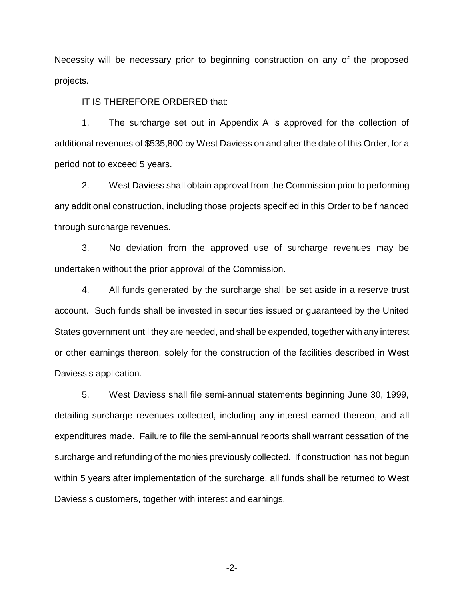Necessity will be necessary prior to beginning construction on any of the proposed projects.

IT IS THEREFORE ORDERED that:

1. The surcharge set out in Appendix A is approved for the collection of additional revenues of \$535,800 by West Daviess on and after the date of this Order, for a period not to exceed 5 years.

2. West Daviess shall obtain approval from the Commission prior to performing any additional construction, including those projects specified in this Order to be financed through surcharge revenues.

3. No deviation from the approved use of surcharge revenues may be undertaken without the prior approval of the Commission.

4. All funds generated by the surcharge shall be set aside in a reserve trust account. Such funds shall be invested in securities issued or guaranteed by the United States government until they are needed, and shall be expended, together with any interest or other earnings thereon, solely for the construction of the facilities described in West Daviess s application.

5. West Daviess shall file semi-annual statements beginning June 30, 1999, detailing surcharge revenues collected, including any interest earned thereon, and all expenditures made. Failure to file the semi-annual reports shall warrant cessation of the surcharge and refunding of the monies previously collected. If construction has not begun within 5 years after implementation of the surcharge, all funds shall be returned to West Daviess s customers, together with interest and earnings.

-2-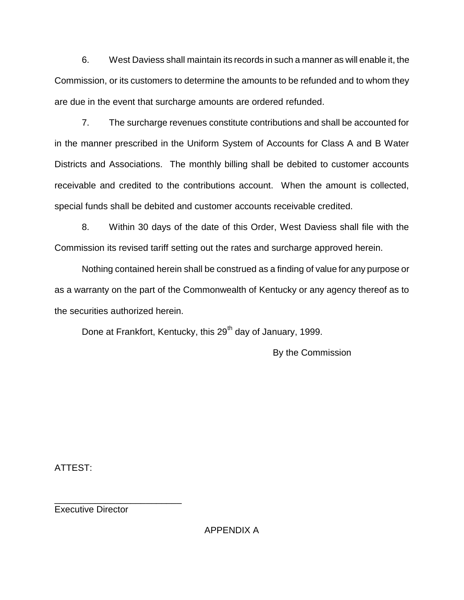6. West Daviess shall maintain its records in such a manner as will enable it, the Commission, or its customers to determine the amounts to be refunded and to whom they are due in the event that surcharge amounts are ordered refunded.

7. The surcharge revenues constitute contributions and shall be accounted for in the manner prescribed in the Uniform System of Accounts for Class A and B Water Districts and Associations. The monthly billing shall be debited to customer accounts receivable and credited to the contributions account. When the amount is collected, special funds shall be debited and customer accounts receivable credited.

8. Within 30 days of the date of this Order, West Daviess shall file with the Commission its revised tariff setting out the rates and surcharge approved herein.

Nothing contained herein shall be construed as a finding of value for any purpose or as a warranty on the part of the Commonwealth of Kentucky or any agency thereof as to the securities authorized herein.

Done at Frankfort, Kentucky, this 29<sup>th</sup> day of January, 1999.

By the Commission

ATTEST:

\_\_\_\_\_\_\_\_\_\_\_\_\_\_\_\_\_\_\_\_\_\_\_\_\_ Executive Director

APPENDIX A